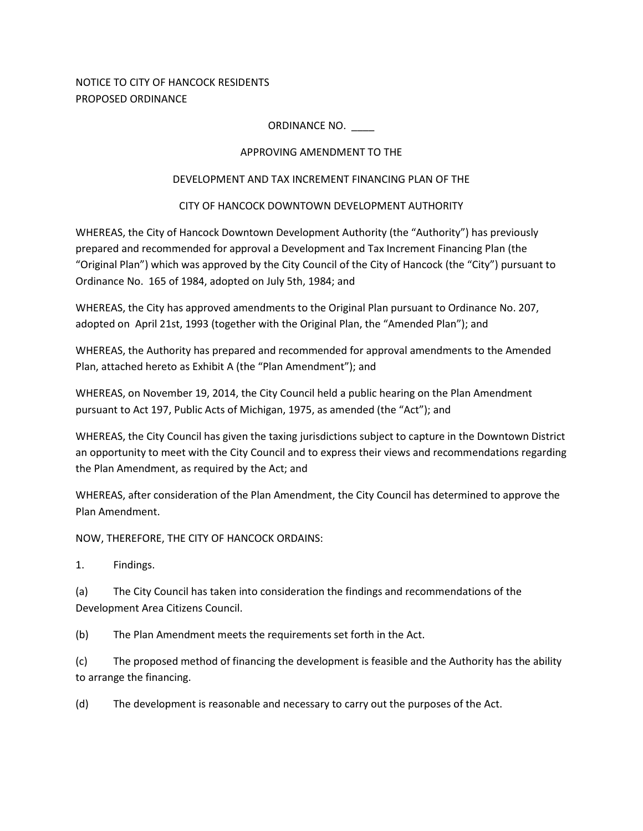NOTICE TO CITY OF HANCOCK RESIDENTS PROPOSED ORDINANCE

### ORDINANCE NO. \_\_\_\_

### APPROVING AMENDMENT TO THE

### DEVELOPMENT AND TAX INCREMENT FINANCING PLAN OF THE

## CITY OF HANCOCK DOWNTOWN DEVELOPMENT AUTHORITY

WHEREAS, the City of Hancock Downtown Development Authority (the "Authority") has previously prepared and recommended for approval a Development and Tax Increment Financing Plan (the "Original Plan") which was approved by the City Council of the City of Hancock (the "City") pursuant to Ordinance No. 165 of 1984, adopted on July 5th, 1984; and

WHEREAS, the City has approved amendments to the Original Plan pursuant to Ordinance No. 207, adopted on April 21st, 1993 (together with the Original Plan, the "Amended Plan"); and

WHEREAS, the Authority has prepared and recommended for approval amendments to the Amended Plan, attached hereto as Exhibit A (the "Plan Amendment"); and

WHEREAS, on November 19, 2014, the City Council held a public hearing on the Plan Amendment pursuant to Act 197, Public Acts of Michigan, 1975, as amended (the "Act"); and

WHEREAS, the City Council has given the taxing jurisdictions subject to capture in the Downtown District an opportunity to meet with the City Council and to express their views and recommendations regarding the Plan Amendment, as required by the Act; and

WHEREAS, after consideration of the Plan Amendment, the City Council has determined to approve the Plan Amendment.

NOW, THEREFORE, THE CITY OF HANCOCK ORDAINS:

1. Findings.

(a) The City Council has taken into consideration the findings and recommendations of the Development Area Citizens Council.

(b) The Plan Amendment meets the requirements set forth in the Act.

(c) The proposed method of financing the development is feasible and the Authority has the ability to arrange the financing.

(d) The development is reasonable and necessary to carry out the purposes of the Act.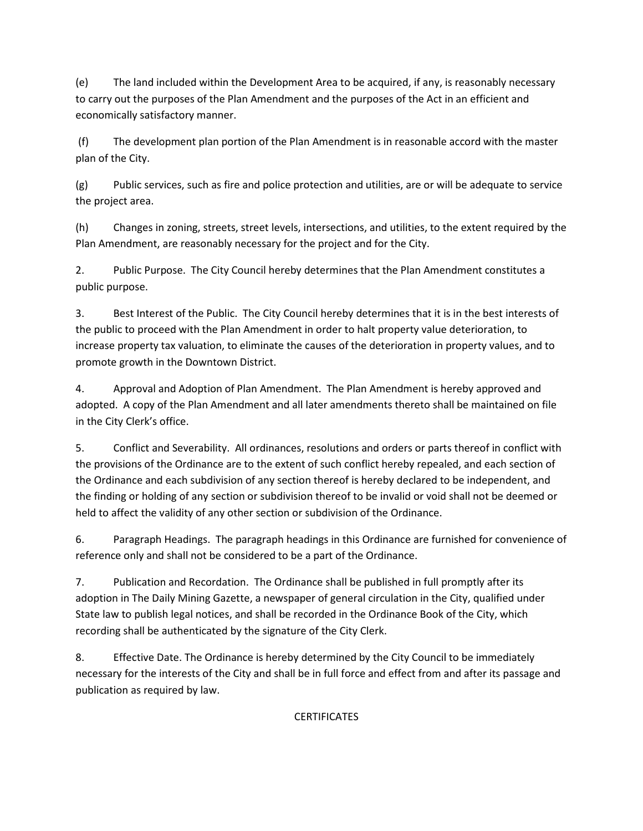(e) The land included within the Development Area to be acquired, if any, is reasonably necessary to carry out the purposes of the Plan Amendment and the purposes of the Act in an efficient and economically satisfactory manner.

 (f) The development plan portion of the Plan Amendment is in reasonable accord with the master plan of the City.

(g) Public services, such as fire and police protection and utilities, are or will be adequate to service the project area.

(h) Changes in zoning, streets, street levels, intersections, and utilities, to the extent required by the Plan Amendment, are reasonably necessary for the project and for the City.

2. Public Purpose. The City Council hereby determines that the Plan Amendment constitutes a public purpose.

3. Best Interest of the Public. The City Council hereby determines that it is in the best interests of the public to proceed with the Plan Amendment in order to halt property value deterioration, to increase property tax valuation, to eliminate the causes of the deterioration in property values, and to promote growth in the Downtown District.

4. Approval and Adoption of Plan Amendment. The Plan Amendment is hereby approved and adopted. A copy of the Plan Amendment and all later amendments thereto shall be maintained on file in the City Clerk's office.

5. Conflict and Severability. All ordinances, resolutions and orders or parts thereof in conflict with the provisions of the Ordinance are to the extent of such conflict hereby repealed, and each section of the Ordinance and each subdivision of any section thereof is hereby declared to be independent, and the finding or holding of any section or subdivision thereof to be invalid or void shall not be deemed or held to affect the validity of any other section or subdivision of the Ordinance.

6. Paragraph Headings. The paragraph headings in this Ordinance are furnished for convenience of reference only and shall not be considered to be a part of the Ordinance.

7. Publication and Recordation. The Ordinance shall be published in full promptly after its adoption in The Daily Mining Gazette, a newspaper of general circulation in the City, qualified under State law to publish legal notices, and shall be recorded in the Ordinance Book of the City, which recording shall be authenticated by the signature of the City Clerk.

8. Effective Date. The Ordinance is hereby determined by the City Council to be immediately necessary for the interests of the City and shall be in full force and effect from and after its passage and publication as required by law.

**CERTIFICATES**